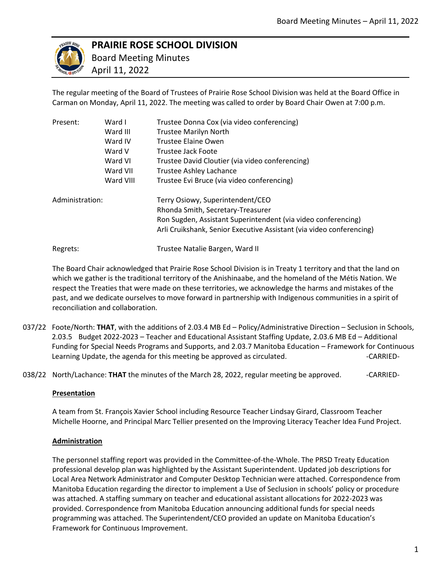

# **PRAIRIE ROSE SCHOOL DIVISION**

 Board Meeting Minutes April 11, 2022

The regular meeting of the Board of Trustees of Prairie Rose School Division was held at the Board Office in Carman on Monday, April 11, 2022. The meeting was called to order by Board Chair Owen at 7:00 p.m.

| Present:        | Ward I    | Trustee Donna Cox (via video conferencing)                           |
|-----------------|-----------|----------------------------------------------------------------------|
|                 | Ward III  | <b>Trustee Marilyn North</b>                                         |
|                 | Ward IV   | Trustee Elaine Owen                                                  |
|                 | Ward V    | Trustee Jack Foote                                                   |
|                 | Ward VI   | Trustee David Cloutier (via video conferencing)                      |
|                 | Ward VII  | <b>Trustee Ashley Lachance</b>                                       |
|                 | Ward VIII | Trustee Evi Bruce (via video conferencing)                           |
| Administration: |           | Terry Osiowy, Superintendent/CEO                                     |
|                 |           | Rhonda Smith, Secretary-Treasurer                                    |
|                 |           | Ron Sugden, Assistant Superintendent (via video conferencing)        |
|                 |           | Arli Cruikshank, Senior Executive Assistant (via video conferencing) |
| Regrets:        |           | Trustee Natalie Bargen, Ward II                                      |

The Board Chair acknowledged that Prairie Rose School Division is in Treaty 1 territory and that the land on which we gather is the traditional territory of the Anishinaabe, and the homeland of the Métis Nation. We respect the Treaties that were made on these territories, we acknowledge the harms and mistakes of the past, and we dedicate ourselves to move forward in partnership with Indigenous communities in a spirit of reconciliation and collaboration.

- 037/22 Foote/North: **THAT**, with the additions of 2.03.4 MB Ed Policy/Administrative Direction Seclusion in Schools, 2.03.5 Budget 2022-2023 – Teacher and Educational Assistant Staffing Update, 2.03.6 MB Ed – Additional Funding for Special Needs Programs and Supports, and 2.03.7 Manitoba Education – Framework for Continuous Learning Update, the agenda for this meeting be approved as circulated. The case of the CARRIED-
- 038/22 North/Lachance: **THAT** the minutes of the March 28, 2022, regular meeting be approved. ------------------

### **Presentation**

A team from St. François Xavier School including Resource Teacher Lindsay Girard, Classroom Teacher Michelle Hoorne, and Principal Marc Tellier presented on the Improving Literacy Teacher Idea Fund Project.

## **Administration**

The personnel staffing report was provided in the Committee-of-the-Whole. The PRSD Treaty Education professional develop plan was highlighted by the Assistant Superintendent. Updated job descriptions for Local Area Network Administrator and Computer Desktop Technician were attached. Correspondence from Manitoba Education regarding the director to implement a Use of Seclusion in schools' policy or procedure was attached. A staffing summary on teacher and educational assistant allocations for 2022-2023 was provided. Correspondence from Manitoba Education announcing additional funds for special needs programming was attached. The Superintendent/CEO provided an update on Manitoba Education's Framework for Continuous Improvement.